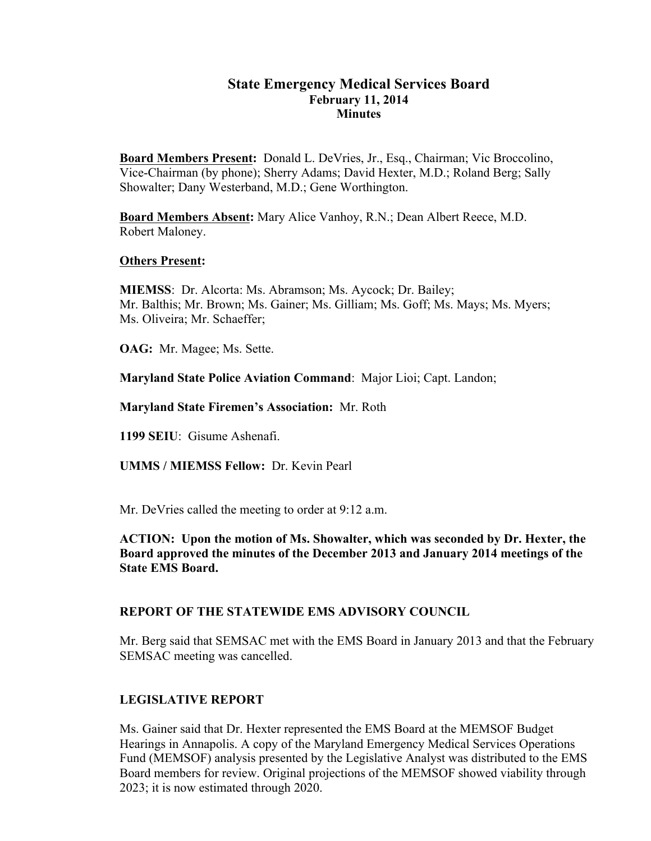### **State Emergency Medical Services Board February 11, 2014 Minutes**

**Board Members Present:** Donald L. DeVries, Jr., Esq., Chairman; Vic Broccolino, Vice-Chairman (by phone); Sherry Adams; David Hexter, M.D.; Roland Berg; Sally Showalter; Dany Westerband, M.D.; Gene Worthington.

**Board Members Absent:** Mary Alice Vanhoy, R.N.; Dean Albert Reece, M.D. Robert Maloney.

#### **Others Present:**

**MIEMSS**: Dr. Alcorta: Ms. Abramson; Ms. Aycock; Dr. Bailey; Mr. Balthis; Mr. Brown; Ms. Gainer; Ms. Gilliam; Ms. Goff; Ms. Mays; Ms. Myers; Ms. Oliveira; Mr. Schaeffer;

**OAG:** Mr. Magee; Ms. Sette.

**Maryland State Police Aviation Command**: Major Lioi; Capt. Landon;

**Maryland State Firemen's Association:** Mr. Roth

**1199 SEIU**: Gisume Ashenafi.

**UMMS / MIEMSS Fellow:** Dr. Kevin Pearl

Mr. DeVries called the meeting to order at 9:12 a.m.

#### **ACTION: Upon the motion of Ms. Showalter, which was seconded by Dr. Hexter, the Board approved the minutes of the December 2013 and January 2014 meetings of the State EMS Board.**

### **REPORT OF THE STATEWIDE EMS ADVISORY COUNCIL**

Mr. Berg said that SEMSAC met with the EMS Board in January 2013 and that the February SEMSAC meeting was cancelled.

### **LEGISLATIVE REPORT**

Ms. Gainer said that Dr. Hexter represented the EMS Board at the MEMSOF Budget Hearings in Annapolis. A copy of the Maryland Emergency Medical Services Operations Fund (MEMSOF) analysis presented by the Legislative Analyst was distributed to the EMS Board members for review. Original projections of the MEMSOF showed viability through 2023; it is now estimated through 2020.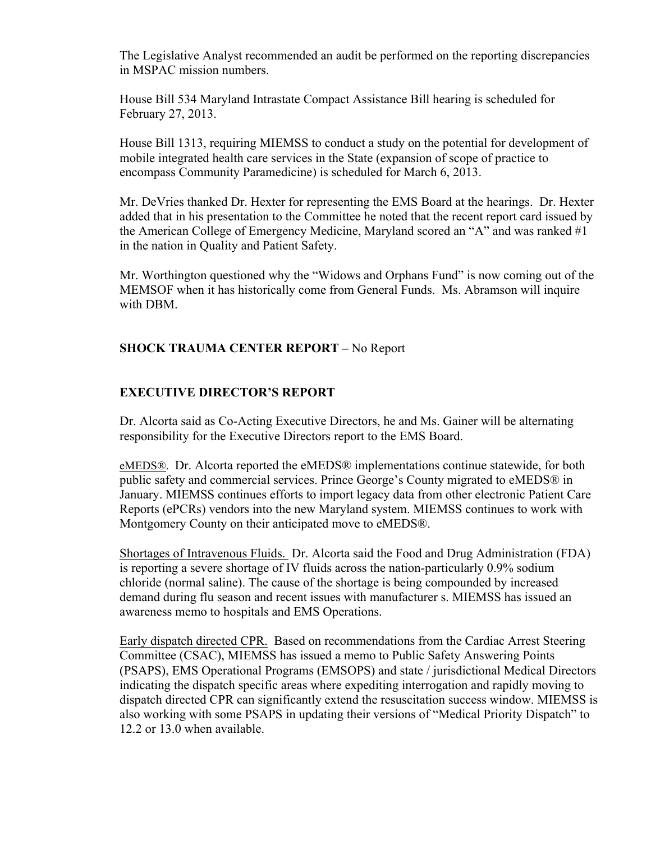The Legislative Analyst recommended an audit be performed on the reporting discrepancies in MSPAC mission numbers.

House Bill 534 Maryland Intrastate Compact Assistance Bill hearing is scheduled for February 27, 2013.

House Bill 1313, requiring MIEMSS to conduct a study on the potential for development of mobile integrated health care services in the State (expansion of scope of practice to encompass Community Paramedicine) is scheduled for March 6, 2013.

Mr. DeVries thanked Dr. Hexter for representing the EMS Board at the hearings. Dr. Hexter added that in his presentation to the Committee he noted that the recent report card issued by the American College of Emergency Medicine, Maryland scored an "A" and was ranked #1 in the nation in Quality and Patient Safety.

Mr. Worthington questioned why the "Widows and Orphans Fund" is now coming out of the MEMSOF when it has historically come from General Funds. Ms. Abramson will inquire with DBM.

## **SHOCK TRAUMA CENTER REPORT –** No Report

## **EXECUTIVE DIRECTOR'S REPORT**

Dr. Alcorta said as Co-Acting Executive Directors, he and Ms. Gainer will be alternating responsibility for the Executive Directors report to the EMS Board.

eMEDS®. Dr. Alcorta reported the eMEDS® implementations continue statewide, for both public safety and commercial services. Prince George's County migrated to eMEDS® in January. MIEMSS continues efforts to import legacy data from other electronic Patient Care Reports (ePCRs) vendors into the new Maryland system. MIEMSS continues to work with Montgomery County on their anticipated move to eMEDS®.

Shortages of Intravenous Fluids. Dr. Alcorta said the Food and Drug Administration (FDA) is reporting a severe shortage of IV fluids across the nation-particularly 0.9% sodium chloride (normal saline). The cause of the shortage is being compounded by increased demand during flu season and recent issues with manufacturer s. MIEMSS has issued an awareness memo to hospitals and EMS Operations.

Early dispatch directed CPR. Based on recommendations from the Cardiac Arrest Steering Committee (CSAC), MIEMSS has issued a memo to Public Safety Answering Points (PSAPS), EMS Operational Programs (EMSOPS) and state / jurisdictional Medical Directors indicating the dispatch specific areas where expediting interrogation and rapidly moving to dispatch directed CPR can significantly extend the resuscitation success window. MIEMSS is also working with some PSAPS in updating their versions of "Medical Priority Dispatch" to 12.2 or 13.0 when available.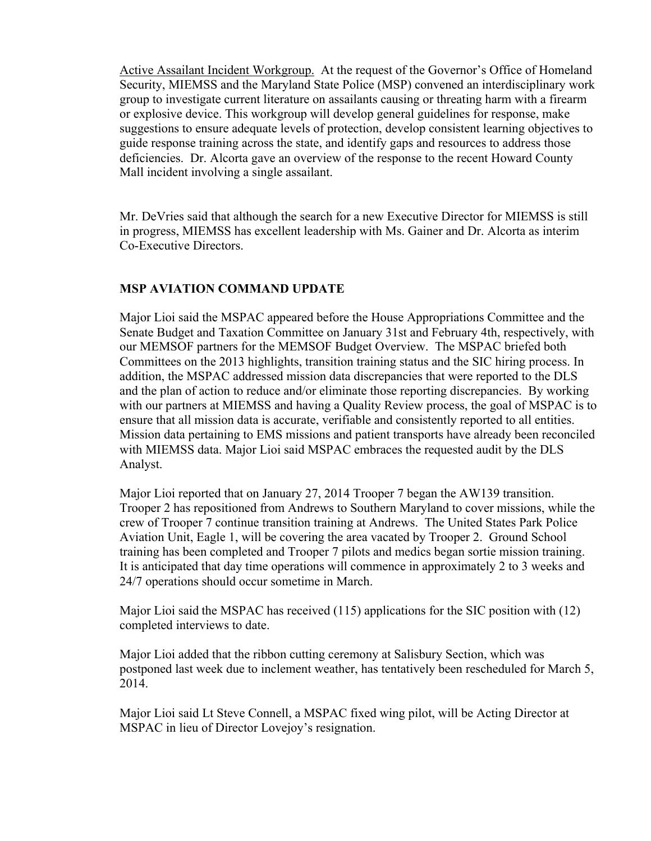Active Assailant Incident Workgroup. At the request of the Governor's Office of Homeland Security, MIEMSS and the Maryland State Police (MSP) convened an interdisciplinary work group to investigate current literature on assailants causing or threating harm with a firearm or explosive device. This workgroup will develop general guidelines for response, make suggestions to ensure adequate levels of protection, develop consistent learning objectives to guide response training across the state, and identify gaps and resources to address those deficiencies. Dr. Alcorta gave an overview of the response to the recent Howard County Mall incident involving a single assailant.

Mr. DeVries said that although the search for a new Executive Director for MIEMSS is still in progress, MIEMSS has excellent leadership with Ms. Gainer and Dr. Alcorta as interim Co-Executive Directors.

## **MSP AVIATION COMMAND UPDATE**

Major Lioi said the MSPAC appeared before the House Appropriations Committee and the Senate Budget and Taxation Committee on January 31st and February 4th, respectively, with our MEMSOF partners for the MEMSOF Budget Overview. The MSPAC briefed both Committees on the 2013 highlights, transition training status and the SIC hiring process. In addition, the MSPAC addressed mission data discrepancies that were reported to the DLS and the plan of action to reduce and/or eliminate those reporting discrepancies. By working with our partners at MIEMSS and having a Quality Review process, the goal of MSPAC is to ensure that all mission data is accurate, verifiable and consistently reported to all entities. Mission data pertaining to EMS missions and patient transports have already been reconciled with MIEMSS data. Major Lioi said MSPAC embraces the requested audit by the DLS Analyst.

Major Lioi reported that on January 27, 2014 Trooper 7 began the AW139 transition. Trooper 2 has repositioned from Andrews to Southern Maryland to cover missions, while the crew of Trooper 7 continue transition training at Andrews. The United States Park Police Aviation Unit, Eagle 1, will be covering the area vacated by Trooper 2. Ground School training has been completed and Trooper 7 pilots and medics began sortie mission training. It is anticipated that day time operations will commence in approximately 2 to 3 weeks and 24/7 operations should occur sometime in March.

Major Lioi said the MSPAC has received (115) applications for the SIC position with (12) completed interviews to date.

Major Lioi added that the ribbon cutting ceremony at Salisbury Section, which was postponed last week due to inclement weather, has tentatively been rescheduled for March 5, 2014.

Major Lioi said Lt Steve Connell, a MSPAC fixed wing pilot, will be Acting Director at MSPAC in lieu of Director Lovejoy's resignation.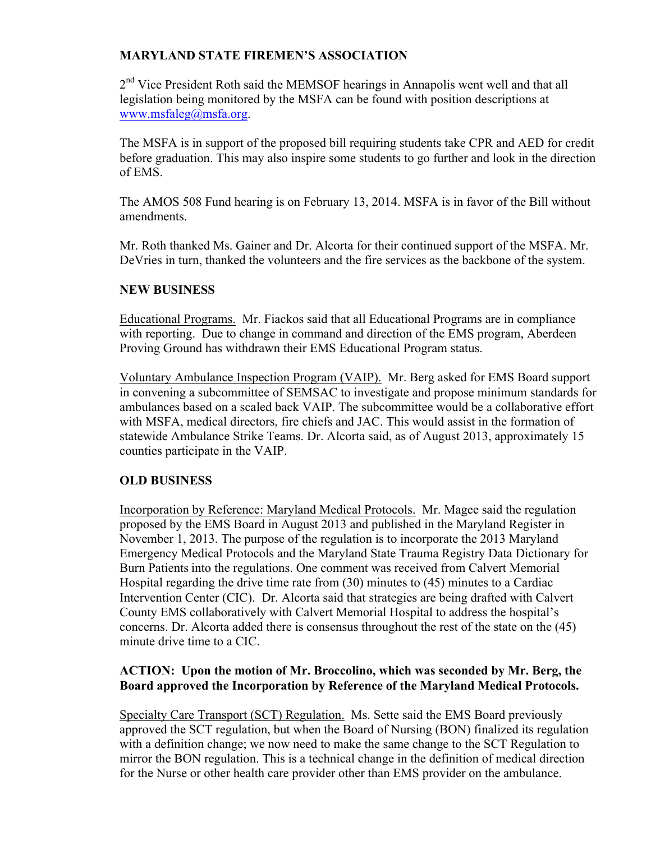## **MARYLAND STATE FIREMEN'S ASSOCIATION**

2<sup>nd</sup> Vice President Roth said the MEMSOF hearings in Annapolis went well and that all legislation being monitored by the MSFA can be found with position descriptions at www.msfaleg@msfa.org.

The MSFA is in support of the proposed bill requiring students take CPR and AED for credit before graduation. This may also inspire some students to go further and look in the direction of EMS.

The AMOS 508 Fund hearing is on February 13, 2014. MSFA is in favor of the Bill without amendments.

Mr. Roth thanked Ms. Gainer and Dr. Alcorta for their continued support of the MSFA. Mr. DeVries in turn, thanked the volunteers and the fire services as the backbone of the system.

## **NEW BUSINESS**

Educational Programs. Mr. Fiackos said that all Educational Programs are in compliance with reporting. Due to change in command and direction of the EMS program, Aberdeen Proving Ground has withdrawn their EMS Educational Program status.

Voluntary Ambulance Inspection Program (VAIP). Mr. Berg asked for EMS Board support in convening a subcommittee of SEMSAC to investigate and propose minimum standards for ambulances based on a scaled back VAIP. The subcommittee would be a collaborative effort with MSFA, medical directors, fire chiefs and JAC. This would assist in the formation of statewide Ambulance Strike Teams. Dr. Alcorta said, as of August 2013, approximately 15 counties participate in the VAIP.

# **OLD BUSINESS**

Incorporation by Reference: Maryland Medical Protocols. Mr. Magee said the regulation proposed by the EMS Board in August 2013 and published in the Maryland Register in November 1, 2013. The purpose of the regulation is to incorporate the 2013 Maryland Emergency Medical Protocols and the Maryland State Trauma Registry Data Dictionary for Burn Patients into the regulations. One comment was received from Calvert Memorial Hospital regarding the drive time rate from (30) minutes to (45) minutes to a Cardiac Intervention Center (CIC). Dr. Alcorta said that strategies are being drafted with Calvert County EMS collaboratively with Calvert Memorial Hospital to address the hospital's concerns. Dr. Alcorta added there is consensus throughout the rest of the state on the (45) minute drive time to a CIC.

## **ACTION: Upon the motion of Mr. Broccolino, which was seconded by Mr. Berg, the Board approved the Incorporation by Reference of the Maryland Medical Protocols.**

Specialty Care Transport (SCT) Regulation. Ms. Sette said the EMS Board previously approved the SCT regulation, but when the Board of Nursing (BON) finalized its regulation with a definition change; we now need to make the same change to the SCT Regulation to mirror the BON regulation. This is a technical change in the definition of medical direction for the Nurse or other health care provider other than EMS provider on the ambulance.